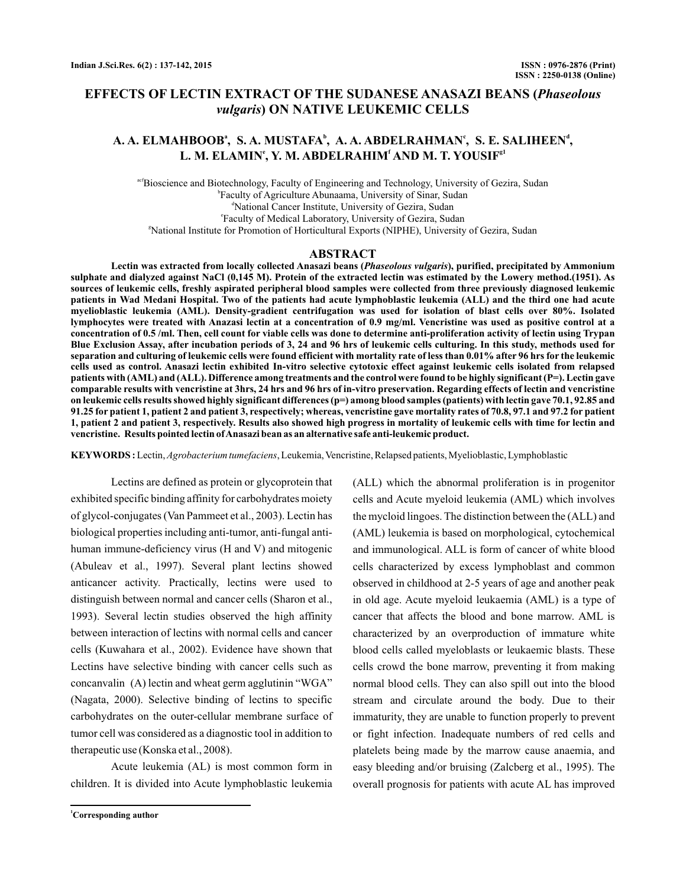## **EFFECTS OF LECTIN EXTRACT OF THE SUDANESE ANASAZI BEANS (** *Phaseolous* **) ON NATIVE LEUKEMIC CELLS** *vulgaris*

# A. A. ELMAHBOOBª, S. A. MUSTAFA<sup>b</sup>, A. A. ABDELRAHMAN<sup>e</sup>, S. E. SALIHEEN<sup>d</sup>,  $\mathbf{L}.$  M. ELAMIN°, Y. M. ABDELRAHIM' AND M. T. YOUSIF<sup>g1</sup>

<sup>acf</sup>Bioscience and Biotechnology, Faculty of Engineering and Technology, University of Gezira, Sudan b Faculty of Agriculture Abunaama, University of Sinar, Sudan d National Cancer Institute, University of Gezira, Sudan e Faculty of Medical Laboratory, University of Gezira, Sudan g National Institute for Promotion of Horticultural Exports (NIPHE), University of Gezira, Sudan

#### **ABSTRACT**

Lectin was extracted from locally collected Anasazi beans (*Phaseolous vulgaris*), purified, precipitated by Ammonium **sulphate and dialyzed against NaCl (0,145 M). Protein of the extracted lectin was estimated by the Lowery method.(1951). As sources of leukemic cells, freshly aspirated peripheral blood samples were collected from three previously diagnosed leukemic patients in Wad Medani Hospital. Two of the patients had acute lymphoblastic leukemia (ALL) and the third one had acute myelioblastic leukemia (AML). Density-gradient centrifugation was used for isolation of blast cells over 80%. Isolated lymphocytes were treated with Anazasi lectin at a concentration of 0.9 mg/ml. Vencristine was used as positive control at a concentration of 0.5 /ml. Then, cell count for viable cells was done to determine anti-proliferation activity of lectin using Trypan Blue Exclusion Assay, after incubation periods of 3, 24 and 96 hrs of leukemic cells culturing. In this study, methods used for separation and culturing of leukemic cells were found efficient with mortality rate of less than 0.01% after 96 hrs for the leukemic cells used as control. Anasazi lectin exhibited In-vitro selective cytotoxic effect against leukemic cells isolated from relapsed patients with (AML) and (ALL). Difference among treatments and the control were found to be highly significant (P=). Lectin gave comparable results with vencristine at 3hrs, 24 hrs and 96 hrs of in-vitro preservation. Regarding effects of lectin and vencristine on leukemic cells results showed highly significant differences (p=) among blood samples (patients) with lectin gave 70.1, 92.85 and 91.25 for patient 1, patient 2 and patient 3, respectively; whereas, vencristine gave mortality rates of 70.8, 97.1 and 97.2 for patient 1, patient 2 and patient 3, respectively. Results also showed high progress in mortality of leukemic cells with time for lectin and vencristine. Results pointed lectin ofAnasazi bean as an alternative safe anti-leukemic product.**

KEYWORDS : Lectin, Agrobacterium tumefaciens, Leukemia, Vencristine, Relapsed patients, Myelioblastic, Lymphoblastic

Lectins are defined as protein or glycoprotein that exhibited specific binding affinity for carbohydrates moiety of glycol-conjugates (Van Pammeet et al., 2003). Lectin has biological properties including anti-tumor, anti-fungal antihuman immune-deficiency virus (H and V) and mitogenic (Abuleav et al., 1997). Several plant lectins showed anticancer activity. Practically, lectins were used to distinguish between normal and cancer cells (Sharon et al., 1993). Several lectin studies observed the high affinity between interaction of lectins with normal cells and cancer cells (Kuwahara et al., 2002). Evidence have shown that Lectins have selective binding with cancer cells such as concanvalin (A) lectin and wheat germ agglutinin "WGA" (Nagata, 2000). Selective binding of lectins to specific carbohydrates on the outer-cellular membrane surface of tumor cell was considered as a diagnostic tool in addition to therapeutic use (Konska et al., 2008).

Acute leukemia (AL) is most common form in children. It is divided into Acute lymphoblastic leukemia

**<sup>1</sup>Corresponding author**

(ALL) which the abnormal proliferation is in progenitor cells and Acute myeloid leukemia (AML) which involves the mycloid lingoes. The distinction between the (ALL) and (AML) leukemia is based on morphological, cytochemical and immunological. ALL is form of cancer of white blood cells characterized by excess lymphoblast and common observed in childhood at 2-5 years of age and another peak in old age. Acute myeloid leukaemia (AML) is a type of cancer that affects the blood and bone marrow. AML is characterized by an overproduction of immature white blood cells called myeloblasts or leukaemic blasts. These cells crowd the bone marrow, preventing it from making normal blood cells. They can also spill out into the blood stream and circulate around the body. Due to their immaturity, they are unable to function properly to prevent or fight infection. Inadequate numbers of red cells and platelets being made by the marrow cause anaemia, and easy bleeding and/or bruising (Zalcberg et al., 1995). The overall prognosis for patients with acute AL has improved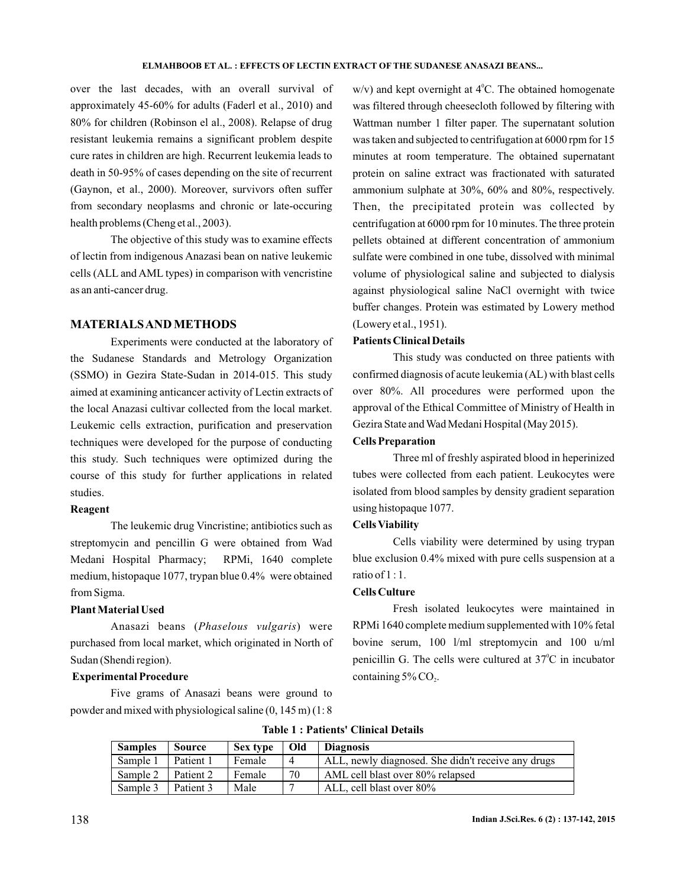over the last decades, with an overall survival of approximately 45-60% for adults (Faderl et al., 2010) and 80% for children (Robinson el al., 2008). Relapse of drug resistant leukemia remains a significant problem despite cure rates in children are high. Recurrent leukemia leads to death in 50-95% of cases depending on the site of recurrent (Gaynon, et al., 2000). Moreover, survivors often suffer from secondary neoplasms and chronic or late-occuring health problems (Cheng et al., 2003).

The objective of this study was to examine effects of lectin from indigenous Anazasi bean on native leukemic cells (ALL and AML types) in comparison with vencristine as an anti-cancer drug.

### **MATERIALSAND METHODS**

Experiments were conducted at the laboratory of the Sudanese Standards and Metrology Organization (SSMO) in Gezira State-Sudan in 2014-015. This study aimed at examining anticancer activity of Lectin extracts of the local Anazasi cultivar collected from the local market. Leukemic cells extraction, purification and preservation techniques were developed for the purpose of conducting this study. Such techniques were optimized during the course of this study for further applications in related studies.

#### **Reagent**

The leukemic drug Vincristine; antibiotics such as streptomycin and pencillin G were obtained from Wad Medani Hospital Pharmacy; RPMi, 1640 complete medium, histopaque 1077, trypan blue 0.4% were obtained from Sigma.

## **Plant Material Used**

Anasazi beans (Phaselous vulgaris) were purchased from local market, which originated in North of Sudan (Shendi region).

## **Experimental Procedure**

Five grams of Anasazi beans were ground to powder and mixed with physiological saline (0, 145 m) (1: 8

 $w/v$ ) and kept overnight at  $4^{\circ}$ C. The obtained homogenate was filtered through cheesecloth followed by filtering with Wattman number 1 filter paper. The supernatant solution was taken and subjected to centrifugation at 6000 rpm for 15 minutes at room temperature. The obtained supernatant protein on saline extract was fractionated with saturated ammonium sulphate at 30%, 60% and 80%, respectively. Then, the precipitated protein was collected by centrifugation at 6000 rpm for 10 minutes. The three protein pellets obtained at different concentration of ammonium sulfate were combined in one tube, dissolved with minimal volume of physiological saline and subjected to dialysis against physiological saline NaCl overnight with twice buffer changes. Protein was estimated by Lowery method (Lowery et al., 1951).

### **Patients Clinical Details**

This study was conducted on three patients with confirmed diagnosis of acute leukemia (AL) with blast cells over 80%. All procedures were performed upon the approval of the Ethical Committee of Ministry of Health in Gezira State and Wad Medani Hospital (May 2015).

#### **Cells Preparation**

Three ml of freshly aspirated blood in heperinized tubes were collected from each patient. Leukocytes were isolated from blood samples by density gradient separation using histopaque 1077.

#### **Cells Viability**

Cells viability were determined by using trypan blue exclusion 0.4% mixed with pure cells suspension at a ratio of  $1:1$ .

## **Cells Culture**

Fresh isolated leukocytes were maintained in RPMi 1640 complete medium supplemented with 10% fetal bovine serum, 100 l/ml streptomycin and 100 u/ml penicillin G. The cells were cultured at  $37^{\circ}$ C in incubator containing  $5\%$  CO<sub>2</sub>.

| Table 1 : Patients' Clinical Details |  |
|--------------------------------------|--|
|--------------------------------------|--|

| <b>Samples</b>     | Source    | Sex type | Old            | <b>Diagnosis</b>                                   |
|--------------------|-----------|----------|----------------|----------------------------------------------------|
| Sample 1           | Patient 1 | Female   | $\overline{4}$ | ALL, newly diagnosed. She didn't receive any drugs |
| Sample 2 Patient 2 |           | Female   | 70             | AML cell blast over 80% relapsed                   |
| Sample 3           | Patient 3 | Male     |                | ALL, cell blast over 80%                           |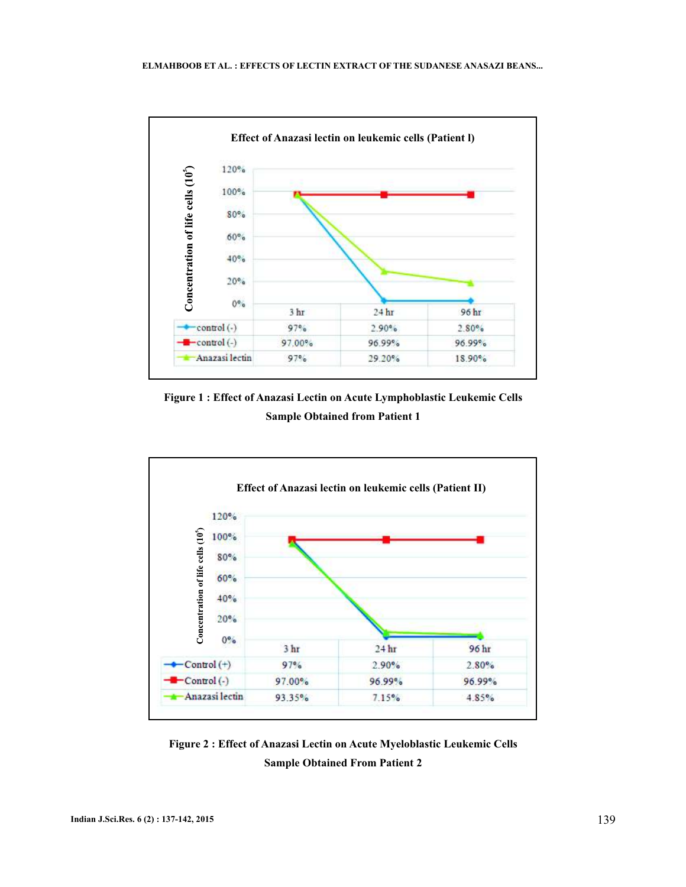

**Figure 1 : Effect of Anazasi Lectin on Acute Lymphoblastic Leukemic Cells Sample Obtained from Patient 1**



**Figure 2 : Effect of Anazasi Lectin on Acute Myeloblastic Leukemic Cells Sample Obtained From Patient 2**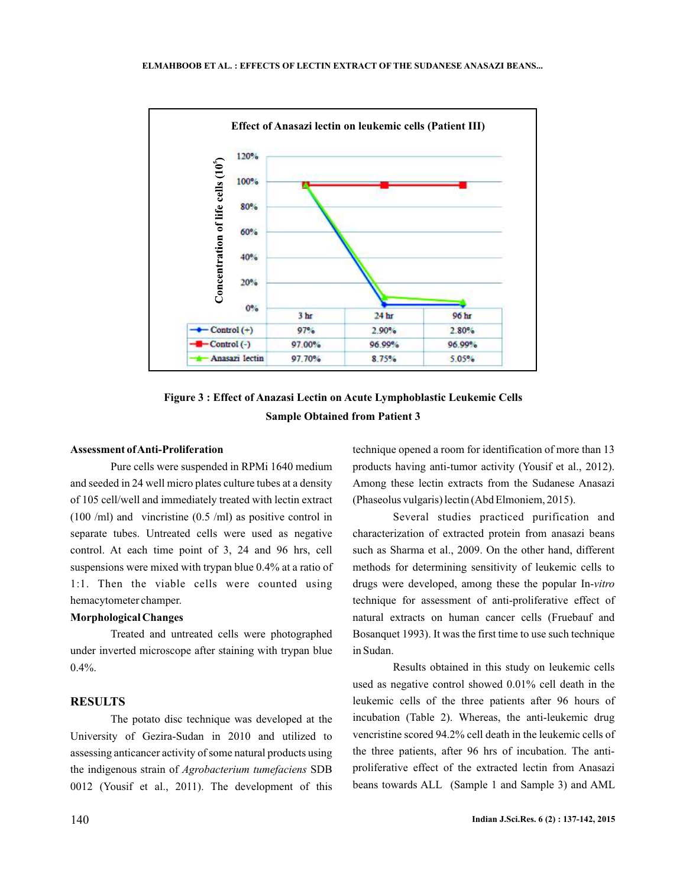

**Figure 3 : Effect of Anazasi Lectin on Acute Lymphoblastic Leukemic Cells Sample Obtained from Patient 3**

## **Assessment ofAnti-Proliferation**

Pure cells were suspended in RPMi 1640 medium and seeded in 24 well micro plates culture tubes at a density of 105 cell/well and immediately treated with lectin extract (100 /ml) and vincristine (0.5 /ml) as positive control in separate tubes. Untreated cells were used as negative control. At each time point of 3, 24 and 96 hrs, cell suspensions were mixed with trypan blue 0.4% at a ratio of 1:1. Then the viable cells were counted using hemacytometer champer.

#### **Morphological Changes**

Treated and untreated cells were photographed under inverted microscope after staining with trypan blue  $0.4\%$ .

## **RESULTS**

The potato disc technique was developed at the University of Gezira-Sudan in 2010 and utilized to assessing anticancer activity of some natural products using the indigenous strain of Agrobacterium tumefaciens SDB 0012 (Yousif et al., 2011). The development of this

technique opened a room for identification of more than 13 products having anti-tumor activity (Yousif et al., 2012). Among these lectin extracts from the Sudanese Anasazi (Phaseolus vulgaris) lectin (Abd Elmoniem, 2015).

Several studies practiced purification and characterization of extracted protein from anasazi beans such as Sharma et al., 2009. On the other hand, different methods for determining sensitivity of leukemic cells to drugs were developed, among these the popular In-*vitro* technique for assessment of anti-proliferative effect of natural extracts on human cancer cells (Fruebauf and Bosanquet 1993). It was the first time to use such technique in Sudan.

Results obtained in this study on leukemic cells used as negative control showed 0.01% cell death in the leukemic cells of the three patients after 96 hours of incubation (Table 2). Whereas, the anti-leukemic drug vencristine scored 94.2% cell death in the leukemic cells of the three patients, after 96 hrs of incubation. The antiproliferative effect of the extracted lectin from Anasazi beans towards ALL (Sample 1 and Sample 3) and AML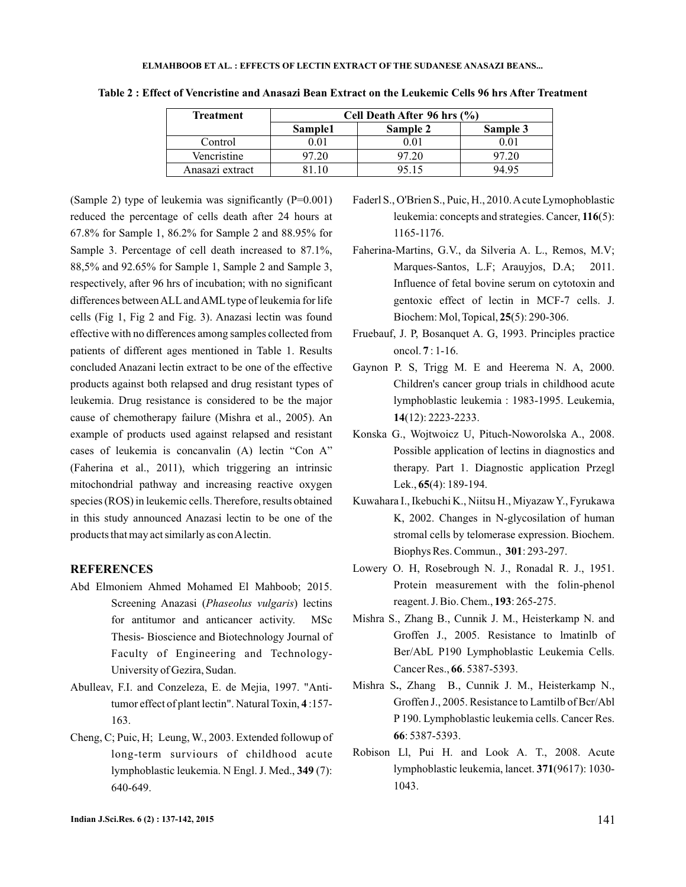| <b>Treatment</b> | Cell Death After 96 hrs $(\% )$ |          |          |  |  |
|------------------|---------------------------------|----------|----------|--|--|
|                  | Sample1                         | Sample 2 | Sample 3 |  |  |
| Control          | ιOΓ                             |          | 0.O1     |  |  |
| Vencristine      | ว7.20                           | 97.20    | 97.20    |  |  |
| Anasazi extract  |                                 | 95 15    | 94 Q5    |  |  |

**Table 2 : Effect of Vencristine and Anasazi Bean Extract on the Leukemic Cells 96 hrs After Treatment**

(Sample 2) type of leukemia was significantly  $(P=0.001)$ reduced the percentage of cells death after 24 hours at 67.8% for Sample 1, 86.2% for Sample 2 and 88.95% for Sample 3. Percentage of cell death increased to 87.1%, 88,5% and 92.65% for Sample 1, Sample 2 and Sample 3, respectively, after 96 hrs of incubation; with no significant differences betweenALL andAML type of leukemia for life cells (Fig 1, Fig 2 and Fig. 3). Anazasi lectin was found effective with no differences among samples collected from patients of different ages mentioned in Table 1. Results concluded Anazani lectin extract to be one of the effective products against both relapsed and drug resistant types of leukemia. Drug resistance is considered to be the major cause of chemotherapy failure (Mishra et al., 2005). An example of products used against relapsed and resistant cases of leukemia is concanvalin (A) lectin "Con A" (Faherina et al., 2011), which triggering an intrinsic mitochondrial pathway and increasing reactive oxygen species (ROS) in leukemic cells. Therefore, results obtained in this study announced Anazasi lectin to be one of the products that may act similarly as conAlectin.

### **REFERENCES**

- Abd Elmoniem Ahmed Mohamed El Mahboob; 2015. Screening Anazasi (Phaseolus vulgaris) lectins for antitumor and anticancer activity. MSc Thesis- Bioscience and Biotechnology Journal of Faculty of Engineering and Technology-University of Gezira, Sudan.
- Abulleav, F.I. and Conzeleza, E. de Mejia, 1997. "Antitumor effect of plant lectin". Natural Toxin, 4:157-163.
- Cheng, C; Puic, H; Leung, W., 2003. Extended followup of long-term surviours of childhood acute lymphoblastic leukemia. N Engl. J. Med., 349 (7): 640-649.

Faderl S., O'Brien S., Puic, H., 2010.Acute Lymophoblastic leukemia: concepts and strategies. Cancer, 116(5): 1165-1176.

- Faherina-Martins, G.V., da Silveria A. L., Remos, M.V; Marques-Santos, L.F; Arauyjos, D.A; 2011. Influence of fetal bovine serum on cytotoxin and gentoxic effect of lectin in MCF-7 cells. J. Biochem: Mol, Topical, **25**(5): 290-306.
- Fruebauf, J. P, Bosanquet A. G, 1993. Principles practice oncol. **7** : 1-16.
- Gaynon P. S, Trigg M. E and Heerema N. A, 2000. Children's cancer group trials in childhood acute lymphoblastic leukemia : 1983-1995. Leukemia, (12): 2223-2233. **14**
- Konska G., Wojtwoicz U, Pituch-Noworolska A., 2008. Possible application of lectins in diagnostics and therapy. Part 1. Diagnostic application Przegl Lek., **65**(4): 189-194.
- Kuwahara I., Ikebuchi K., Niitsu H., MiyazawY., Fyrukawa K, 2002. Changes in N-glycosilation of human stromal cells by telomerase expression. Biochem. Biophys Res. Commun., 301: 293-297.
- Lowery O. H, Rosebrough N. J., Ronadal R. J., 1951. Protein measurement with the folin-phenol reagent. J. Bio. Chem., **193**: 265-275.
- Mishra S., Zhang B., Cunnik J. M., Heisterkamp N. and Groffen J., 2005. Resistance to lmatinlb of Ber/AbL P190 Lymphoblastic Leukemia Cells. Cancer Res., 66. 5387-5393.
- Mishra S., Zhang B., Cunnik J. M., Heisterkamp N., Groffen J., 2005. Resistance to Lamtilb of Bcr/Abl P 190. Lymphoblastic leukemia cells. Cancer Res. : 5387-5393. **66**
- Robison Ll, Pui H. and Look A. T., 2008. Acute lymphoblastic leukemia, lancet. (9617): 1030- **371** 1043.